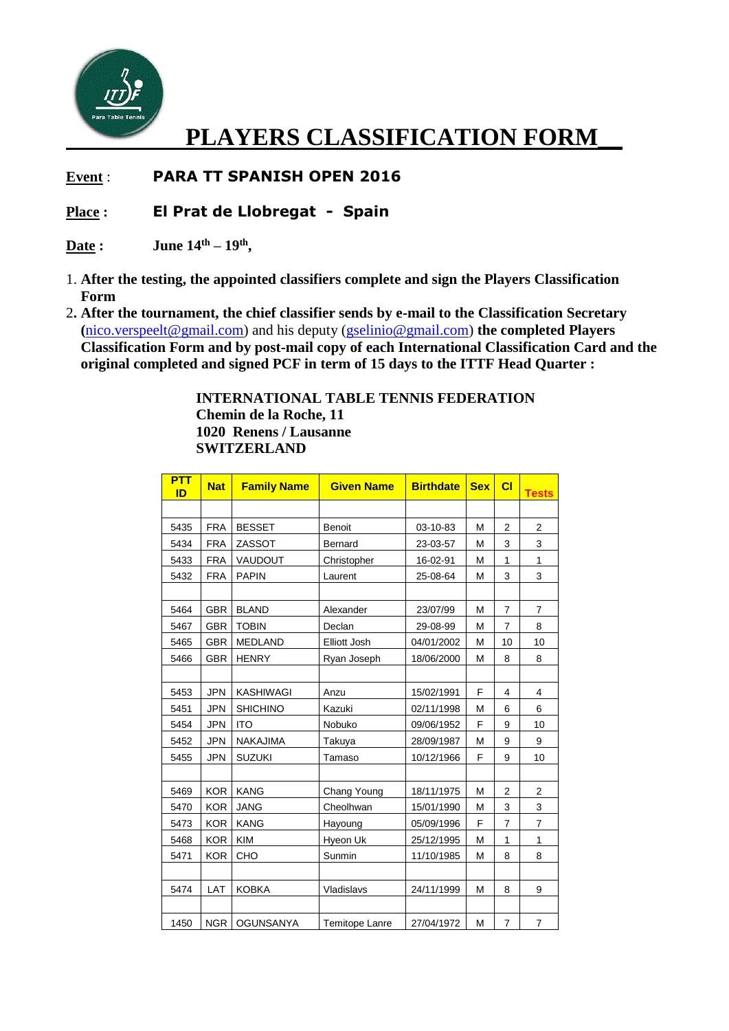

## **PLAYERS CLASSIFICATION FORM\_\_**

**Event** : **PARA TT SPANISH OPEN 2016**

## **Place : El Prat de Llobregat - Spain**

**Date : June 14th – 19th ,**

- 1. **After the testing, the appointed classifiers complete and sign the Players Classification Form**
- 2**. After the tournament, the chief classifier sends by e-mail to the Classification Secretary (**[nico.verspeelt@gmail.com\)](mailto:nico.verspeelt@gmail.com) and his deputy [\(gselinio@gmail.com\)](mailto:gselinio@gmail.com) **the completed Players Classification Form and by post-mail copy of each International Classification Card and the original completed and signed PCF in term of 15 days to the ITTF Head Quarter :**

**INTERNATIONAL TABLE TENNIS FEDERATION Chemin de la Roche, 11 1020 Renens / Lausanne SWITZERLAND**

| <b>PTT</b><br>ID | <b>Nat</b> | <b>Family Name</b> | <b>Given Name</b>     | <b>Birthdate</b> | <b>Sex</b> | CI             | <b>Tests</b>   |
|------------------|------------|--------------------|-----------------------|------------------|------------|----------------|----------------|
|                  |            |                    |                       |                  |            |                |                |
| 5435             | <b>FRA</b> | <b>BESSET</b>      | <b>Benoit</b>         | 03-10-83         | M          | $\overline{2}$ | $\overline{2}$ |
| 5434             | <b>FRA</b> | ZASSOT             | Bernard               | 23-03-57         | M          | 3              | 3              |
| 5433             | <b>FRA</b> | VAUDOUT            | Christopher           | 16-02-91         | М          | 1              | 1              |
| 5432             | <b>FRA</b> | <b>PAPIN</b>       | Laurent               | 25-08-64         | M          | 3              | 3              |
|                  |            |                    |                       |                  |            |                |                |
| 5464             | <b>GBR</b> | <b>BLAND</b>       | Alexander             | 23/07/99         | M          | $\overline{7}$ | $\overline{7}$ |
| 5467             | <b>GBR</b> | <b>TOBIN</b>       | Declan                | 29-08-99         | М          | $\overline{7}$ | 8              |
| 5465             | <b>GBR</b> | <b>MEDLAND</b>     | Elliott Josh          | 04/01/2002       | M          | 10             | 10             |
| 5466             | <b>GBR</b> | <b>HENRY</b>       | Ryan Joseph           | 18/06/2000       | M          | 8              | 8              |
|                  |            |                    |                       |                  |            |                |                |
| 5453             | <b>JPN</b> | <b>KASHIWAGI</b>   | Anzu                  | 15/02/1991       | F          | $\overline{4}$ | 4              |
| 5451             | <b>JPN</b> | <b>SHICHINO</b>    | Kazuki                | 02/11/1998       | М          | 6              | 6              |
| 5454             | <b>JPN</b> | <b>ITO</b>         | Nobuko                | 09/06/1952       | F          | 9              | 10             |
| 5452             | <b>JPN</b> | <b>NAKAJIMA</b>    | Takuya                | 28/09/1987       | M          | 9              | 9              |
| 5455             | <b>JPN</b> | <b>SUZUKI</b>      | Tamaso                | 10/12/1966       | F          | 9              | 10             |
|                  |            |                    |                       |                  |            |                |                |
| 5469             | <b>KOR</b> | <b>KANG</b>        | Chang Young           | 18/11/1975       | M          | $\overline{c}$ | $\overline{2}$ |
| 5470             | <b>KOR</b> | <b>JANG</b>        | Cheolhwan             | 15/01/1990       | М          | 3              | 3              |
| 5473             | <b>KOR</b> | <b>KANG</b>        | Hayoung               | 05/09/1996       | F          | 7              | $\overline{7}$ |
| 5468             | <b>KOR</b> | <b>KIM</b>         | Hyeon Uk              | 25/12/1995       | М          | 1              | 1              |
| 5471             | <b>KOR</b> | CHO                | Sunmin                | 11/10/1985       | M          | 8              | 8              |
|                  |            |                    |                       |                  |            |                |                |
| 5474             | LAT        | <b>KOBKA</b>       | Vladislavs            | 24/11/1999       | M          | 8              | 9              |
|                  |            |                    |                       |                  |            |                |                |
| 1450             | <b>NGR</b> | <b>OGUNSANYA</b>   | <b>Temitope Lanre</b> | 27/04/1972       | M          | $\overline{7}$ | $\overline{7}$ |